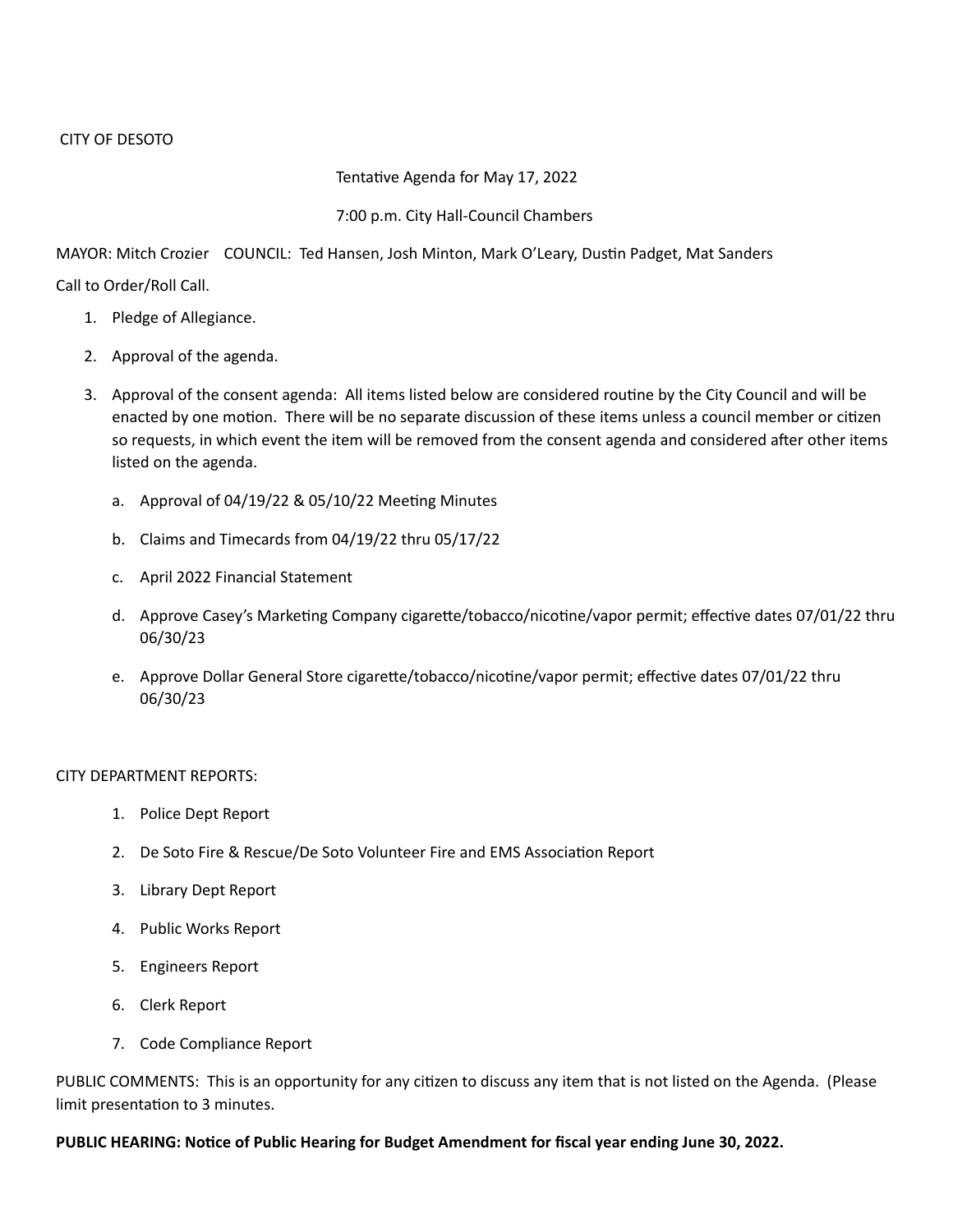## Tentative Agenda for May 17, 2022

## 7:00 p.m. City Hall-Council Chambers

MAYOR: Mitch Crozier COUNCIL: Ted Hansen, Josh Minton, Mark O'Leary, Dustin Padget, Mat Sanders

Call to Order/Roll Call.

- 1. Pledge of Allegiance.
- 2. Approval of the agenda.
- 3. Approval of the consent agenda: All items listed below are considered routine by the City Council and will be enacted by one motion. There will be no separate discussion of these items unless a council member or citizen so requests, in which event the item will be removed from the consent agenda and considered after other items listed on the agenda.
	- a. Approval of 04/19/22 & 05/10/22 Meeting Minutes
	- b. Claims and Timecards from 04/19/22 thru 05/17/22
	- c. April 2022 Financial Statement
	- d. Approve Casey's Marketing Company cigarette/tobacco/nicotine/vapor permit; effective dates 07/01/22 thru 06/30/23
	- e. Approve Dollar General Store cigarette/tobacco/nicotine/vapor permit; effective dates 07/01/22 thru 06/30/23

# CITY DEPARTMENT REPORTS:

- 1. Police Dept Report
- 2. De Soto Fire & Rescue/De Soto Volunteer Fire and EMS Association Report
- 3. Library Dept Report
- 4. Public Works Report
- 5. Engineers Report
- 6. Clerk Report
- 7. Code Compliance Report

PUBLIC COMMENTS: This is an opportunity for any citizen to discuss any item that is not listed on the Agenda. (Please limit presentation to 3 minutes.

# **PUBLIC HEARING: Notice of Public Hearing for Budget Amendment for fiscal year ending June 30, 2022.**